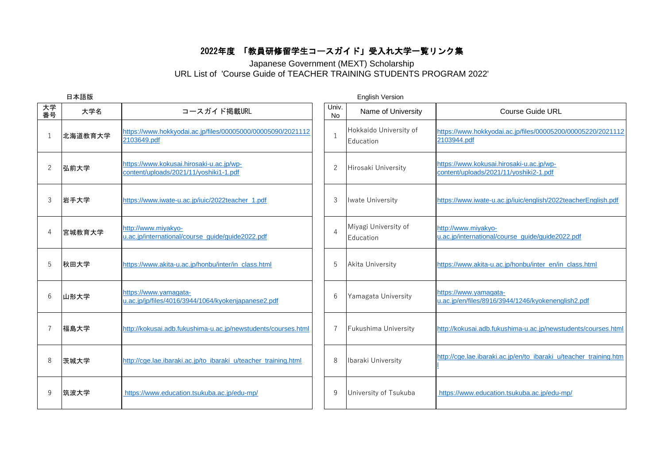## 2022年度 「教員研修留学生コースガイド」受入れ大学一覧リンク集

## Japanese Government (MEXT) Scholarship URL List of 'Course Guide of TEACHER TRAINING STUDENTS PROGRAM 2022'

|                |         |                                                                                    | <b>English Version</b> |                                     |                                                                                    |  |  |  |
|----------------|---------|------------------------------------------------------------------------------------|------------------------|-------------------------------------|------------------------------------------------------------------------------------|--|--|--|
| 大学<br>番号       | 大学名     | コースガイド掲載URL                                                                        | Univ.<br>No            | Name of University                  | <b>Course Guide URL</b>                                                            |  |  |  |
|                | 北海道教育大学 | https://www.hokkyodai.ac.jp/files/00005000/00005090/2021112<br>2103649.pdf         | $\mathbf{1}$           | Hokkaido University of<br>Education | https://www.hokkyodai.ac.jp/files/00005200/00005220/2021112<br>2103944.pdf         |  |  |  |
| $\overline{2}$ | 弘前大学    | https://www.kokusai.hirosaki-u.ac.jp/wp-<br>content/uploads/2021/11/yoshiki1-1.pdf | $\mathbf{2}$           | Hirosaki University                 | https://www.kokusai.hirosaki-u.ac.jp/wp-<br>content/uploads/2021/11/yoshiki2-1.pdf |  |  |  |
| 3              | 岩手大学    | https://www.iwate-u.ac.jp/iuic/2022teacher_1.pdf                                   | 3                      | <b>Iwate University</b>             | https://www.iwate-u.ac.jp/iuic/english/2022teacherEnglish.pdf                      |  |  |  |
|                | 宮城教育大学  | http://www.miyakyo-<br>u.ac.jp/international/course_guide/guide2022.pdf            | $\overline{4}$         | Miyagi University of<br>Education   | http://www.miyakyo-<br>u.ac.jp/international/course_guide/guide2022.pdf            |  |  |  |
| 5              | 秋田大学    | https://www.akita-u.ac.jp/honbu/inter/in_class.html                                | 5                      | <b>Akita University</b>             | https://www.akita-u.ac.jp/honbu/inter_en/in_class.html                             |  |  |  |
| 6              | 山形大学    | https://www.yamagata-<br>u.ac.jp/jp/files/4016/3944/1064/kyokenjapanese2.pdf       | 6                      | Yamagata University                 | https://www.yamagata-<br>u.ac.jp/en/files/8916/3944/1246/kyokenenglish2.pdf        |  |  |  |
|                | 福島大学    | http://kokusai.adb.fukushima-u.ac.jp/newstudents/courses.html                      | $\overline{7}$         | Fukushima University                | http://kokusai.adb.fukushima-u.ac.jp/newstudents/courses.html                      |  |  |  |
| 8              | 茨城大学    | http://cge.lae.ibaraki.ac.jp/to ibaraki u/teacher training.html                    | 8                      | Ibaraki University                  | http://cge.lae.ibaraki.ac.jp/en/to_ibaraki_u/teacher_training.htm                  |  |  |  |
| 9              | 筑波大学    | https://www.education.tsukuba.ac.jp/edu-mp/                                        | 9                      | University of Tsukuba               | https://www.education.tsukuba.ac.jp/edu-mp/                                        |  |  |  |
|                |         | 日本語版                                                                               |                        |                                     |                                                                                    |  |  |  |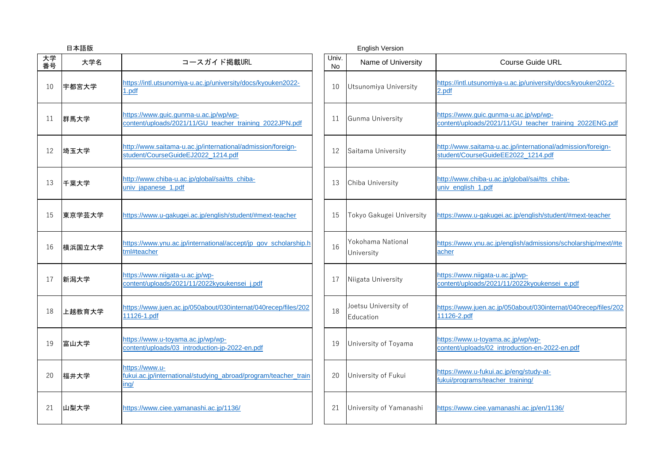|          | 日本語版   |                                                                                                   | <b>English Version</b> |                                   |                                                                                                   |  |  |  |  |
|----------|--------|---------------------------------------------------------------------------------------------------|------------------------|-----------------------------------|---------------------------------------------------------------------------------------------------|--|--|--|--|
| 大学<br>番号 | 大学名    | コースガイド掲載URL                                                                                       | Univ.<br><b>No</b>     | Name of University                | <b>Course Guide URL</b>                                                                           |  |  |  |  |
| 10       | 宇都宮大学  | https://intl.utsunomiya-u.ac.jp/university/docs/kyouken2022-<br>1.pdf                             | 10                     | Utsunomiya University             | https://intl.utsunomiya-u.ac.jp/university/docs/kyouken2022-<br>2.pdf                             |  |  |  |  |
| 11       | 群馬大学   | https://www.guic.gunma-u.ac.jp/wp/wp-<br>content/uploads/2021/11/GU_teacher_training_2022JPN.pdf  | 11                     | Gunma University                  | https://www.guic.gunma-u.ac.jp/wp/wp-<br>content/uploads/2021/11/GU_teacher_training_2022ENG.pdf  |  |  |  |  |
| 12       | 埼玉大学   | http://www.saitama-u.ac.jp/international/admission/foreign-<br>student/CourseGuideEJ2022_1214.pdf | 12                     | Saitama University                | http://www.saitama-u.ac.jp/international/admission/foreign-<br>student/CourseGuideEE2022_1214.pdf |  |  |  |  |
| 13       | 千葉大学   | http://www.chiba-u.ac.jp/global/sai/tts chiba-<br>univ_japanese_1.pdf                             | 13                     | Chiba University                  | http://www.chiba-u.ac.jp/global/sai/tts_chiba-<br>univ_english_1.pdf                              |  |  |  |  |
| 15       | 東京学芸大学 | https://www.u-gakugei.ac.jp/english/student/#mext-teacher                                         | 15                     | Tokyo Gakugei University          | https://www.u-gakugei.ac.jp/english/student/#mext-teacher                                         |  |  |  |  |
| 16       | 横浜国立大学 | https://www.ynu.ac.jp/international/accept/jp_gov_scholarship.h<br>tml#teacher                    | 16                     | Yokohama National<br>University   | https://www.ynu.ac.jp/english/admissions/scholarship/mext/#te<br>acher                            |  |  |  |  |
| 17       | 新潟大学   | https://www.niigata-u.ac.jp/wp-<br>content/uploads/2021/11/2022kyoukensei j.pdf                   | 17                     | Niigata University                | https://www.niigata-u.ac.jp/wp-<br>content/uploads/2021/11/2022kyoukensei_e.pdf                   |  |  |  |  |
| 18       | 上越教育大学 | https://www.juen.ac.jp/050about/030internat/040recep/files/202<br>11126-1.pdf                     | 18                     | Joetsu University of<br>Education | https://www.juen.ac.jp/050about/030internat/040recep/files/202<br>11126-2.pdf                     |  |  |  |  |
| 19       | 富山大学   | https://www.u-toyama.ac.jp/wp/wp-<br>content/uploads/03_introduction-jp-2022-en.pdf               | 19                     | University of Toyama              | https://www.u-toyama.ac.jp/wp/wp-<br>content/uploads/02_introduction-en-2022-en.pdf               |  |  |  |  |
| 20       | 福井大学   | https://www.u-<br>fukui.ac.jp/international/studying_abroad/program/teacher_train<br><u>ing/</u>  | 20                     | University of Fukui               | https://www.u-fukui.ac.jp/eng/study-at-<br>fukui/programs/teacher_training/                       |  |  |  |  |
| 21       | 山梨大学   | https://www.ciee.yamanashi.ac.jp/1136/                                                            | 21                     | University of Yamanashi           | https://www.ciee.yamanashi.ac.jp/en/1136/                                                         |  |  |  |  |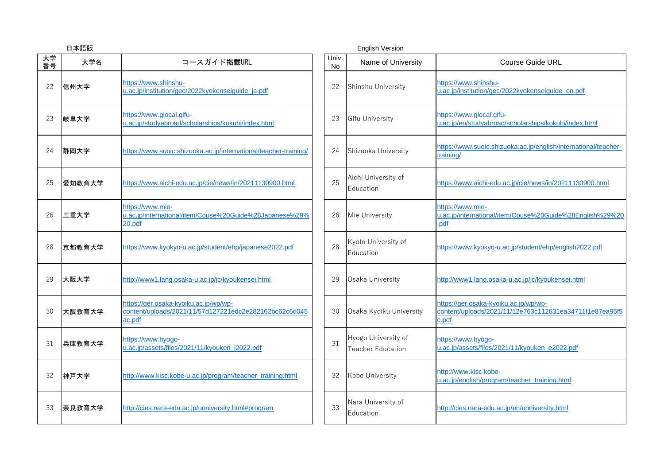|          | 日本語版   |                                                                                                           | <b>English Version</b> |                                                 |                                                                                                           |  |  |  |  |
|----------|--------|-----------------------------------------------------------------------------------------------------------|------------------------|-------------------------------------------------|-----------------------------------------------------------------------------------------------------------|--|--|--|--|
| 大学<br>番号 | 大学名    | コースガイド掲載URL                                                                                               | Univ.<br>No            | Name of University                              | <b>Course Guide URL</b>                                                                                   |  |  |  |  |
| 22       | 信州大学   | https://www.shinshu-<br>u.ac.jp/institution/gec/2022kyokenseiguide_ja.pdf                                 | 22                     | Shinshu University                              | https://www.shinshu-<br>u.ac.jp/institution/gec/2022kyokenseiguide_en.pdf                                 |  |  |  |  |
| 23       | 岐阜大学   | https://www.glocal.gifu-<br>u.ac.jp/studyabroad/scholarships/kokuhi/index.html                            | 23                     | <b>Gifu University</b>                          | https://www.glocal.gifu-<br>u.ac.jp/en/studyabroad/scholarships/kokuhi/index.html                         |  |  |  |  |
| 24       | 静岡大学   | https://www.suoic.shizuoka.ac.jp/international/teacher-training/                                          | 24                     | Shizuoka University                             | https://www.suoic.shizuoka.ac.jp/english/international/teacher-<br>training/                              |  |  |  |  |
| 25       | 愛知教育大学 | https://www.aichi-edu.ac.jp/cie/news/in/20211130900.html                                                  | 25                     | Aichi University of<br>Education                | https://www.aichi-edu.ac.jp/cie/news/in/20211130900.html                                                  |  |  |  |  |
| 26       | 三重大学   | https://www.mie-<br>u.ac.jp/international/item/Couse%20Guide%28Japanese%29%<br>20.pdf                     | 26                     | Mie University                                  | https://www.mie-<br>u.ac.jp/international/item/Couse%20Guide%28English%29%20<br>.pdf                      |  |  |  |  |
| 28       | 京都教育大学 | https://www.kyokyo-u.ac.jp/student/ehp/japanese2022.pdf                                                   | 28                     | Kyoto University of<br>Education                | https://www.kyokyo-u.ac.jp/student/ehp/english2022.pdf                                                    |  |  |  |  |
| 29       | 大阪大学   | http://www1.lang.osaka-u.ac.jp/jc/kyoukensei.html                                                         | 29                     | Osaka University                                | http://www1.lang.osaka-u.ac.jp/jc/kyoukensei.html                                                         |  |  |  |  |
| 30       | 大阪教育大学 | https://ger.osaka-kyoiku.ac.jp/wp/wp-<br>content/uploads/2021/11/57d127221edc2e282162bc62c6d045<br>ac.pdf | 30                     | Osaka Kyoiku University                         | https://ger.osaka-kyoiku.ac.jp/wp/wp-<br>content/uploads/2021/11/12e763c112631ea34711f1e87ea95f5<br>c.pdf |  |  |  |  |
| 31       | 兵庫教育大学 | https://www.hyogo-<br>u.ac.jp/assets/files/2021/11/kyouken_j2022.pdf                                      | 31                     | Hyogo University of<br><b>Teacher Education</b> | https://www.hyogo-<br>u.ac.jp/assets/files/2021/11/kyouken e2022.pdf                                      |  |  |  |  |
| 32       | 神戸大学   | http://www.kisc.kobe-u.ac.jp/program/teacher_training.html                                                | 32                     | Kobe University                                 | http://www.kisc.kobe-<br>u.ac.jp/english/program/teacher_training.html                                    |  |  |  |  |
| 33       | 奈良教育大学 | http://cies.nara-edu.ac.jp/unniversity.html#program                                                       | 33                     | Nara University of<br>Education                 | http://cies.nara-edu.ac.jp/en/unniversity.html                                                            |  |  |  |  |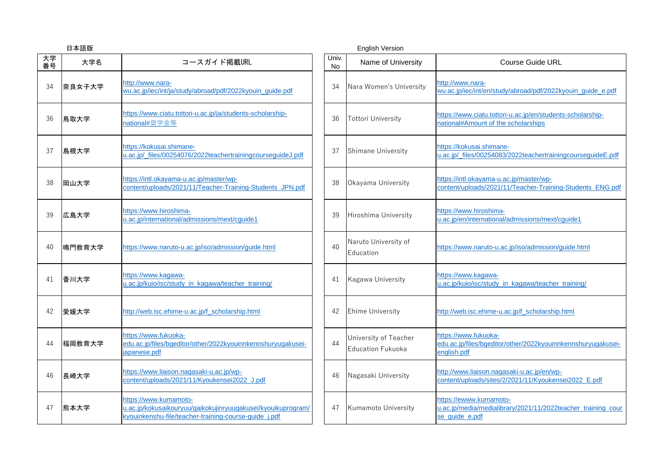|          | 日本語版   |                                                                                                                                                |  | <b>English Version</b> |                                                   |                                                                                                          |                                                     |                                                                                                      |  |
|----------|--------|------------------------------------------------------------------------------------------------------------------------------------------------|--|------------------------|---------------------------------------------------|----------------------------------------------------------------------------------------------------------|-----------------------------------------------------|------------------------------------------------------------------------------------------------------|--|
| 大学<br>番号 | 大学名    | コースガイド掲載URL                                                                                                                                    |  | Univ.<br>No            | Name of University                                | <b>Course Guide URL</b>                                                                                  |                                                     |                                                                                                      |  |
| 34       | 奈良女子大学 | http://www.nara-<br>wu.ac.jp/iec/int/ja/study/abroad/pdf/2022kyouin_guide.pdf                                                                  |  | 34                     | Nara Women's University                           | http://www.nara-<br>wu.ac.jp/iec/int/en/study/abroad/pdf/2022kyouin_guide_e.pdf                          |                                                     |                                                                                                      |  |
| 36       | 鳥取大学   | https://www.ciatu.tottori-u.ac.jp/ja/students-scholarship-<br>national#奨学金等                                                                    |  | 36                     | <b>Tottori University</b>                         | https://www.ciatu.tottori-u.ac.jp/en/students-scholarship-<br>national#Amount of the scholarships        |                                                     |                                                                                                      |  |
| 37       | 島根大学   | https://kokusai.shimane-<br>u.ac.jp/_files/00254076/2022teachertrainingcourseguideJ.pdf                                                        |  | 37                     | <b>Shimane University</b>                         | https://kokusai.shimane-<br>u.ac.jp/_files/00254083/2022teachertrainingcourseguideE.pdf                  |                                                     |                                                                                                      |  |
| 38       | 岡山大学   | https://intl.okayama-u.ac.jp/master/wp-<br>content/uploads/2021/11/Teacher-Training-Students JPN.pdf                                           |  |                        |                                                   | 38                                                                                                       | Okayama University                                  | https://intl.okayama-u.ac.jp/master/wp-<br>content/uploads/2021/11/Teacher-Training-Students ENG.pdf |  |
| 39       | 広島大学   | https://www.hiroshima-<br>u.ac.jp/international/admissions/mext/cquide1                                                                        |  | 39                     | Hiroshima University                              | https://www.hiroshima-<br>u.ac.jp/en/international/admissions/mext/cquide1                               |                                                     |                                                                                                      |  |
| 40       | 鳴門教育大学 | https://www.naruto-u.ac.jp/iso/admission/guide.html                                                                                            |  |                        | 40                                                | Naruto University of<br>Education                                                                        | https://www.naruto-u.ac.jp/iso/admission/guide.html |                                                                                                      |  |
| 41       | 香川大学   | https://www.kagawa-<br>u.ac.jp/kuio/isc/study_in_kagawa/teacher_training/                                                                      |  | 41                     | Kagawa University                                 | https://www.kagawa-<br>u.ac.jp/kuio/isc/study_in_kagawa/teacher_training/                                |                                                     |                                                                                                      |  |
| 42       | 愛媛大学   | http://web.isc.ehime-u.ac.jp/f_scholarship.html                                                                                                |  |                        | 42                                                | <b>Ehime University</b>                                                                                  | http://web.isc.ehime-u.ac.jp/f_scholarship.html     |                                                                                                      |  |
| 44       | 福岡教育大学 | https://www.fukuoka-<br>edu.ac.jp/files/bgeditor/other/2022kyouinnkennshuryugakusei-<br>japanese.pdf                                           |  | 44                     | University of Teacher<br><b>Education Fukuoka</b> | https://www.fukuoka-<br>edu.ac.jp/files/bgeditor/other/2022kyouinnkennshuryugakusei-<br>english.pdf      |                                                     |                                                                                                      |  |
| 46       | 長崎大学   | https://www.liaison.nagasaki-u.ac.jp/wp-<br>content/uploads/2021/11/Kyoukensei2022_J.pdf                                                       |  | 46                     | Nagasaki University                               | http://www.liaison.nagasaki-u.ac.jp/en/wp-<br>content/uploads/sites/2/2021/11/Kyoukensei2022_E.pdf       |                                                     |                                                                                                      |  |
| 47       | 熊本大学   | https://www.kumamoto-<br>u.ac.jp/kokusaikouryuu/gaikokujinryuugakusei/kyouikuprogram/<br>kyouinkenshu-file/teacher-training-course-guide_j.pdf |  | 47                     | Kumamoto University                               | https://ewww.kumamoto-<br>u.ac.jp/media/medialibrary/2021/11/2022teacher_training_cour<br>se_guide_e.pdf |                                                     |                                                                                                      |  |